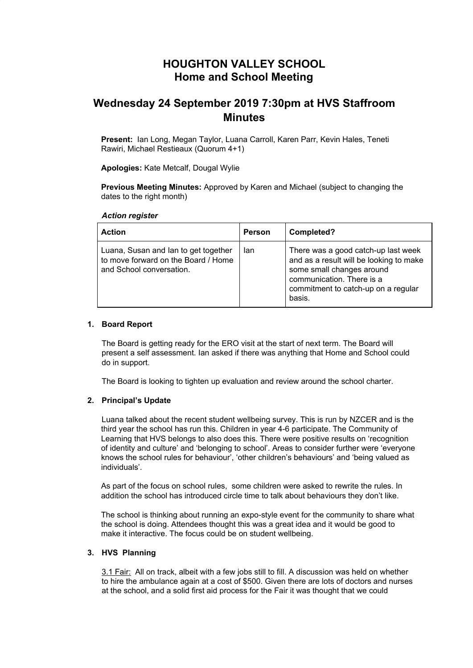# **HOUGHTON VALLEY SCHOOL Home and School Meeting**

# **Wednesday 24 September 2019 7:30pm at HVS Staffroom Minutes**

**Present:** Ian Long, Megan Taylor, Luana Carroll, Karen Parr, Kevin Hales, Teneti Rawiri, Michael Restieaux (Quorum 4+1)

**Apologies:** Kate Metcalf, Dougal Wylie

**Previous Meeting Minutes:** Approved by Karen and Michael (subject to changing the dates to the right month)

### *Action register*

| <b>Action</b>                                                                                           | Person | Completed?                                                                                                                                                                                |
|---------------------------------------------------------------------------------------------------------|--------|-------------------------------------------------------------------------------------------------------------------------------------------------------------------------------------------|
| Luana, Susan and Ian to get together<br>to move forward on the Board / Home<br>and School conversation. | lan    | There was a good catch-up last week<br>and as a result will be looking to make<br>some small changes around<br>communication. There is a<br>commitment to catch-up on a regular<br>basis. |

## **1. Board Report**

The Board is getting ready for the ERO visit at the start of next term. The Board will present a self assessment. Ian asked if there was anything that Home and School could do in support.

The Board is looking to tighten up evaluation and review around the school charter.

### **2. Principal's Update**

Luana talked about the recent student wellbeing survey. This is run by NZCER and is the third year the school has run this. Children in year 4-6 participate. The Community of Learning that HVS belongs to also does this. There were positive results on 'recognition of identity and culture' and 'belonging to school'. Areas to consider further were 'everyone knows the school rules for behaviour', 'other children's behaviours' and 'being valued as individuals'.

As part of the focus on school rules, some children were asked to rewrite the rules. In addition the school has introduced circle time to talk about behaviours they don't like.

The school is thinking about running an expo-style event for the community to share what the school is doing. Attendees thought this was a great idea and it would be good to make it interactive. The focus could be on student wellbeing.

## **3. HVS Planning**

3.1 Fair: All on track, albeit with a few jobs still to fill. A discussion was held on whether to hire the ambulance again at a cost of \$500. Given there are lots of doctors and nurses at the school, and a solid first aid process for the Fair it was thought that we could